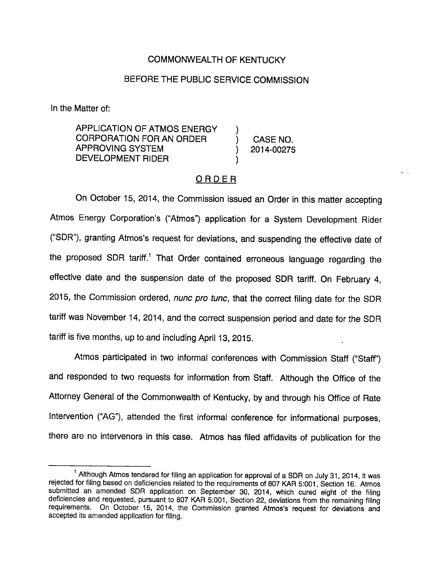## COMMONWEALTH OF KENTUCKY

## BEFORE THE PUBLIC SERVICE COMMISSION

In the Matter of:

APPLICATION OF ATMOS ENERGY CORPORATION FOR AN ORDER ) CASE NO. APPROVING SYSTEM (2014-00275) DEVELOPMENT RIDER )

 $\mathbf{r}_1 = \mathbf{r}_2$ 

## ORDER

On October 15, 2014, the Commission issued an Order in this matter accepting Atmos Energy Corporation's ('Atmos") application for a System Development Rider ("SDR"), granting Atmos's request for deviations, and suspending the effective date of the proposed SDR tariff.<sup>1</sup> That Order contained erroneous language regarding the effective date and the suspension date of the proposed SDR tariff. On February 4, 2015, the Commission ordered, nunc pro tunc, that the correct filing date for the SDR tariff was November 14, 2014, and the correct suspension period and date for the SDR tariff is five months, up to and including April 13, 2015.

Atmos participated in two informal conferences with Commission Staff ("Staff") and responded to two requests for information from Staff. Although the Office of the Attorney General of the Commonwealth of Kentucky, by and through his Office of Rate Intervention ("AG"), attended the first informal conference for informational purposes, there are no intervenors in this case. Atmos has filed affidavits of publication for the

 $1$  Although Atmos tendered for filing an application for approval of a SDR on July 31, 2014, it was rejected for filing based on deficiencies related to the requirements of 807 KAR 5:001, Section 16. Atmos submitted an amended SDR application on September 30, 2014, which cured eight of the filing deficiencies and requested, pursuant to 807 KAR 5:001, Section 22, deviations from the remaining filing requirements. On October 15, 2014, the Commission granted Atmos's request for deviations and accepted its amended application for filing.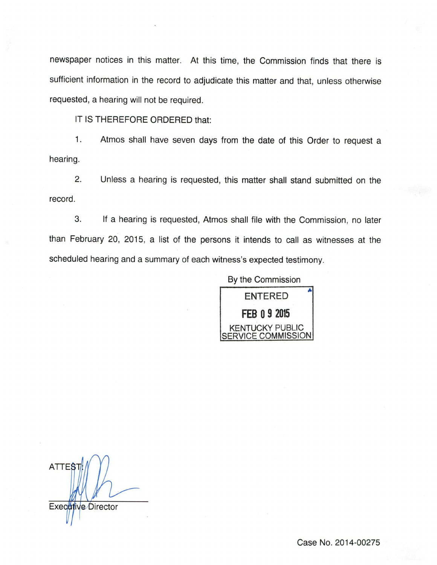newspaper notices in this matter. At this time, the Commission finds that there is sufficient information in the record to adjudicate this matter and that, unless otherwise requested, a hearing will not be required.

IT IS THEREFORE ORDERED that:

1. Atmos shall have seven days from the date of this Order to request a hearing.

2. Unless a hearing is requested, this matter shall stand submitted on the record.

3. If a hearing is requested, Atmos shall file with the Commission, no later than February 20, 2015, a list of the persons it intends to call as witnesses at the scheduled hearing and a summary of each witness's expected testimony.

> By the Commission ENTERED FEB 0 9 2015 KENTUCKY PUBLIC **ERVICE COMMISSION**

**ATTES** Executive Director